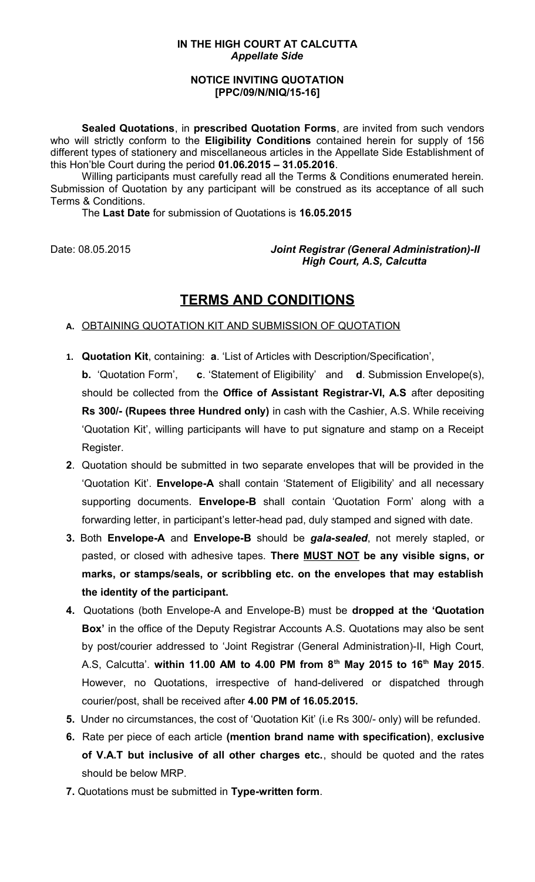#### **IN THE HIGH COURT AT CALCUTTA** *Appellate Side*

#### **NOTICE INVITING QUOTATION [PPC/09/N/NIQ/15-16]**

**Sealed Quotations**, in **prescribed Quotation Forms**, are invited from such vendors who will strictly conform to the **Eligibility Conditions** contained herein for supply of 156 different types of stationery and miscellaneous articles in the Appellate Side Establishment of this Hon'ble Court during the period **01.06.2015 – 31.05.2016**.

Willing participants must carefully read all the Terms & Conditions enumerated herein. Submission of Quotation by any participant will be construed as its acceptance of all such Terms & Conditions.

The **Last Date** for submission of Quotations is **16.05.2015**

Date: 08.05.2015 *Joint Registrar (General Administration)-II High Court, A.S, Calcutta* 

# **TERMS AND CONDITIONS**

#### **A.** OBTAINING QUOTATION KIT AND SUBMISSION OF QUOTATION

- **1. Quotation Kit**, containing: **a**. 'List of Articles with Description/Specification',
- **b.** 'Quotation Form', **c**. 'Statement of Eligibility' and **d**. Submission Envelope(s), should be collected from the **Office of Assistant Registrar-VI, A.S** after depositing **Rs 300/- (Rupees three Hundred only)** in cash with the Cashier, A.S. While receiving 'Quotation Kit', willing participants will have to put signature and stamp on a Receipt Register.
- **2**. Quotation should be submitted in two separate envelopes that will be provided in the 'Quotation Kit'. **Envelope-A** shall contain 'Statement of Eligibility' and all necessary supporting documents. **Envelope-B** shall contain 'Quotation Form' along with a forwarding letter, in participant's letter-head pad, duly stamped and signed with date.
- **3.** Both **Envelope-A** and **Envelope-B** should be *gala-sealed*, not merely stapled, or pasted, or closed with adhesive tapes. **There MUST NOT be any visible signs, or marks, or stamps/seals, or scribbling etc. on the envelopes that may establish the identity of the participant.**
- **4.** Quotations (both Envelope-A and Envelope-B) must be **dropped at the 'Quotation Box'** in the office of the Deputy Registrar Accounts A.S. Quotations may also be sent by post/courier addressed to 'Joint Registrar (General Administration)-II, High Court, A.S, Calcutta'. **within 11.00 AM to 4.00 PM from 8th May 2015 to 16th May 2015**. However, no Quotations, irrespective of hand-delivered or dispatched through courier/post, shall be received after **4.00 PM of 16.05.2015.**
- **5.** Under no circumstances, the cost of 'Quotation Kit' (i.e Rs 300/- only) will be refunded.
- **6.** Rate per piece of each article **(mention brand name with specification)**, **exclusive of V.A.T but inclusive of all other charges etc.**, should be quoted and the rates should be below MRP.
- **7.** Quotations must be submitted in **Type-written form**.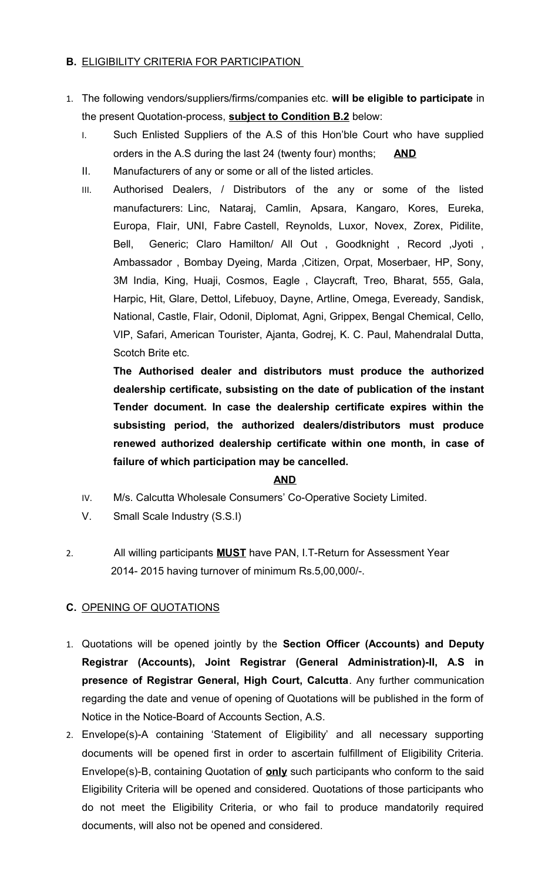## **B.** ELIGIBILITY CRITERIA FOR PARTICIPATION

- 1. The following vendors/suppliers/firms/companies etc. **will be eligible to participate** in the present Quotation-process, **subject to Condition B.2** below:
	- I. Such Enlisted Suppliers of the A.S of this Hon'ble Court who have supplied orders in the A.S during the last 24 (twenty four) months; **AND**
	- II. Manufacturers of any or some or all of the listed articles.
	- III. Authorised Dealers, / Distributors of the any or some of the listed manufacturers: Linc, Nataraj, Camlin, Apsara, Kangaro, Kores, Eureka, Europa, Flair, UNI, Fabre Castell, Reynolds, Luxor, Novex, Zorex, Pidilite, Bell, Generic; Claro Hamilton/ All Out, Goodknight, Record, Jyoti, Ambassador , Bombay Dyeing, Marda ,Citizen, Orpat, Moserbaer, HP, Sony, 3M India, King, Huaji, Cosmos, Eagle , Claycraft, Treo, Bharat, 555, Gala, Harpic, Hit, Glare, Dettol, Lifebuoy, Dayne, Artline, Omega, Eveready, Sandisk, National, Castle, Flair, Odonil, Diplomat, Agni, Grippex, Bengal Chemical, Cello, VIP, Safari, American Tourister, Ajanta, Godrej, K. C. Paul, Mahendralal Dutta, Scotch Brite etc.

**The Authorised dealer and distributors must produce the authorized dealership certificate, subsisting on the date of publication of the instant Tender document. In case the dealership certificate expires within the subsisting period, the authorized dealers/distributors must produce renewed authorized dealership certificate within one month, in case of failure of which participation may be cancelled.** 

### **AND**

- IV. M/s. Calcutta Wholesale Consumers' Co-Operative Society Limited.
- V. Small Scale Industry (S.S.I)
- 2. All willing participants **MUST** have PAN, I.T-Return for Assessment Year 2014- 2015 having turnover of minimum Rs.5,00,000/-.

### **C.** OPENING OF QUOTATIONS

- 1. Quotations will be opened jointly by the **Section Officer (Accounts) and Deputy Registrar (Accounts), Joint Registrar (General Administration)-II, A.S in presence of Registrar General, High Court, Calcutta**. Any further communication regarding the date and venue of opening of Quotations will be published in the form of Notice in the Notice-Board of Accounts Section, A.S.
- 2. Envelope(s)-A containing 'Statement of Eligibility' and all necessary supporting documents will be opened first in order to ascertain fulfillment of Eligibility Criteria. Envelope(s)-B, containing Quotation of **only** such participants who conform to the said Eligibility Criteria will be opened and considered. Quotations of those participants who do not meet the Eligibility Criteria, or who fail to produce mandatorily required documents, will also not be opened and considered.